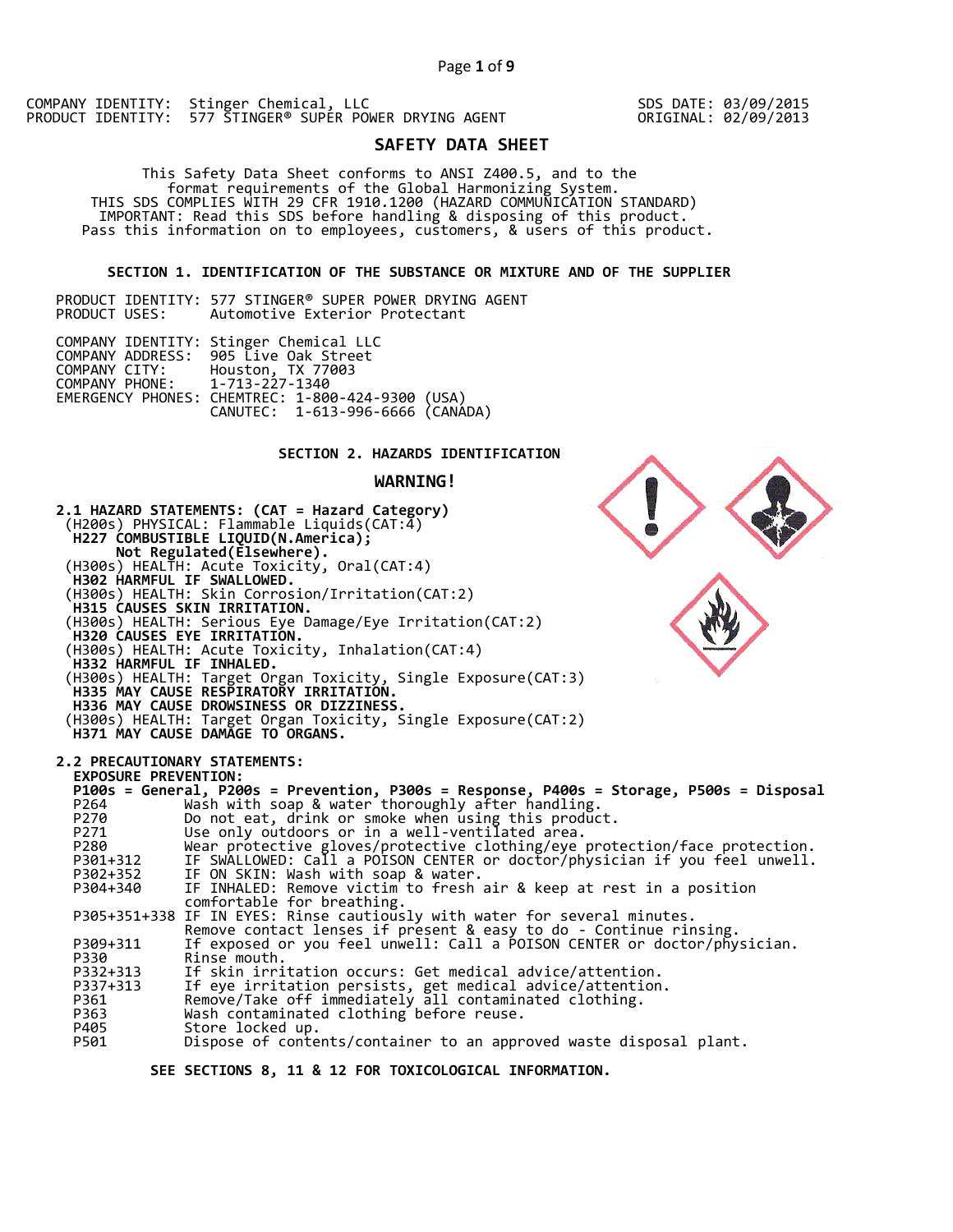COMPANY IDENTITY: Stinger Chemical, LLC PRODUCT IDENTITY: 577 STINGER® SUPER POWER DRYING AGENT SDS DATE: 03/09/2015 ORIGINAL: 02/09/2013

# **SAFETY DATA SHEET**

 This Safety Data Sheet conforms to ANSI Z400.5, and to the format requirements of the Global Harmonizing System. THIS SDS COMPLIES WITH 29 CFR 1910.1200 (HAZARD COMMUNICATION STANDARD) IMPORTANT: Read this SDS before handling & disposing of this product. Pass this information on to employees, customers, & users of this product.

# **SECTION 1. IDENTIFICATION OF THE SUBSTANCE OR MIXTURE AND OF THE SUPPLIER**

|               | PRODUCT IDENTITY: 577 STINGER® SUPER POWER DRYING AGENT |  |                                |  |  |
|---------------|---------------------------------------------------------|--|--------------------------------|--|--|
| PRODUCT USES: |                                                         |  | Automotive Exterior Protectant |  |  |

|                               | COMPANY IDENTITY: Stinger Chemical LLC<br>COMPANY ADDRESS: 905 Live Oak Street       |  |
|-------------------------------|--------------------------------------------------------------------------------------|--|
| COMPANY PHONE: 1-713-227-1340 | COMPANY CITY: Houston, TX 77003                                                      |  |
|                               | EMERGENCY PHONES: CHEMTREC: 1-800-424-9300 (USA)<br>CANUTEC: 1-613-996-6666 (CANÁDA) |  |

# **SECTION 2. HAZARDS IDENTIFICATION**

# **WARNING!**



 **SEE SECTIONS 8, 11 & 12 FOR TOXICOLOGICAL INFORMATION.**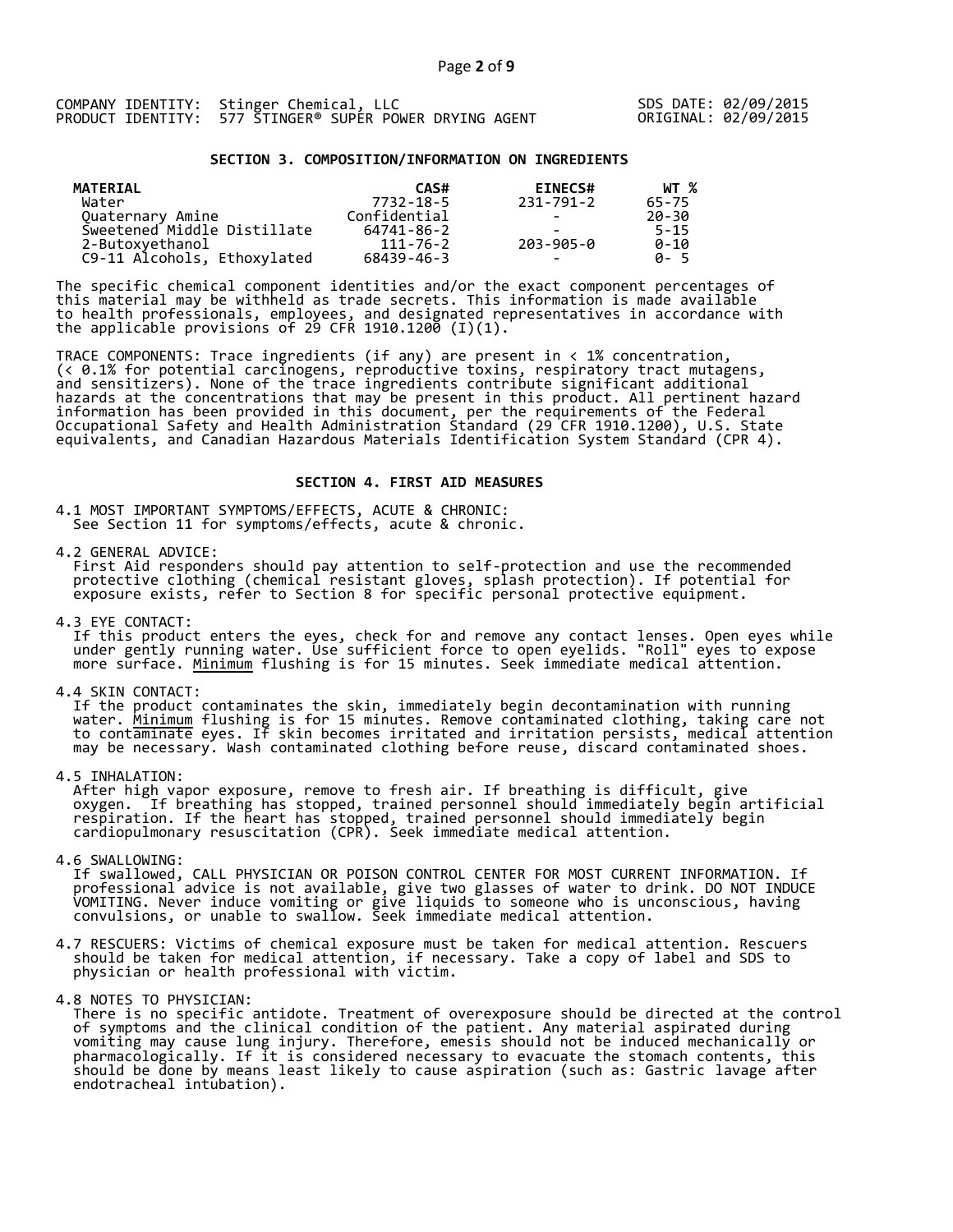|  | COMPANY IDENTITY: Stinger Chemical, LLC                 |  |
|--|---------------------------------------------------------|--|
|  | PRODUCT IDENTITY: 577 STINGER® SUPER POWER DRYING AGENT |  |

SDS DATE: 02/09/2015 ORIGINAL: 02/09/2015

### **SECTION 3. COMPOSITION/INFORMATION ON INGREDIENTS**

| MATERIAL                    | CAS#         | <b>EINECS#</b>           | WT %     |
|-----------------------------|--------------|--------------------------|----------|
| Water                       | 7732-18-5    | 231-791-2                | 65-75    |
| Quaternary Amine            | Confidential | -                        | 20-30    |
| Sweetened Middle Distillate | 64741-86-2   |                          | $5 - 15$ |
| 2-Butoxyethanol             | 111-76-2     | 203-905-0                | $0 - 10$ |
| C9-11 Alcohols, Ethoxylated | 68439-46-3   | $\overline{\phantom{0}}$ | A-5      |

The specific chemical component identities and/or the exact component percentages of this material may be withheld as trade secrets. This information is made available to health professionals, employees, and designated representatives in accordance with the applicable provisions of 29 CFR 1910.1200̄ (I)(1).  $\overline{\phantom{a}}$ 

TRACE COMPONENTS: Trace ingredients (if any) are present in < 1% concentration, (< 0.1% for potential carcinogens, reproductive toxins, respiratory tract mutagens, and sensitizers). None of the trace ingredients contribute significant additional hazards at the concentrations that may be present in this product. All pertinent hazard information has been provided in this document, per the requirements of the Federal Occupational Safety and Health Administration Standard (29 CFR 1910.1200), U.S. State equivalents, and Canadian Hazardous Materials Identification System Standard (CPR 4).

### **SECTION 4. FIRST AID MEASURES**

4.1 MOST IMPORTANT SYMPTOMS/EFFECTS, ACUTE & CHRONIC: See Section 11 for symptoms/effects, acute & chronic.

4.2 GENERAL ADVICE:

 First Aid responders should pay attention to self-protection and use the recommended protective clothing (chemical resistant gloves, splash protection). If potential for exposure exists, refer to Section 8 for specific personal protective equipment.

4.3 EYE CONTACT:

 If this product enters the eyes, check for and remove any contact lenses. Open eyes while under gently running water. Use sufficient force to open eyelids. "Roll" eyes to expose more surface. <u>Minimum</u> flushing is for 15 minutes. Seek immediate medical attention.

4.4 SKIN CONTACT:

 If the product contaminates the skin, immediately begin decontamination with running water. <u>Minimum</u> flushing is for 15 minutes. Remove contaminated clothing, taking care not to contaminate eyes. If skin becomes irritated and irritation persists, medical attention may be necessary. Wash contaminated clothing before reuse, discard contaminated shoes.

4.5 INHALATION:

 After high vapor exposure, remove to fresh air. If breathing is difficult, give oxygen. If breathing has stopped, trained personnel should immediately begin artificial respiration. If the heart has stopped, trained personnel should immediately begin cardiopulmonary resuscitation (CPR). Seek immediate medical attention.

4.6 SWALLOWING:

 If swallowed, CALL PHYSICIAN OR POISON CONTROL CENTER FOR MOST CURRENT INFORMATION. If professional advice is not available, give two glasses of water to drink. DO NOT INDUCE VOMITING. Never induce vomiting or give liquids to someone who is unconscious, having convulsions, or unable to swallow. Seek immediate medical attention.

- 4.7 RESCUERS: Victims of chemical exposure must be taken for medical attention. Rescuers should be taken for medical attention, if necessary. Take a copy of label and SDS to physician or health professional with victim.
- 4.8 NOTES TO PHYSICIAN:
- There is no specific antidote. Treatment of overexposure should be directed at the control of symptoms and the clinical condition of the patient. Any material aspirated during vomiting may cause lung injury. Therefore, emesis should not be induced mechanically or pharmacologically. If it is considered necessary to evacuate the stomach contents, this should be done by means least likely to cause aspiration (such as: Gastric lavage after endotracheal intubation).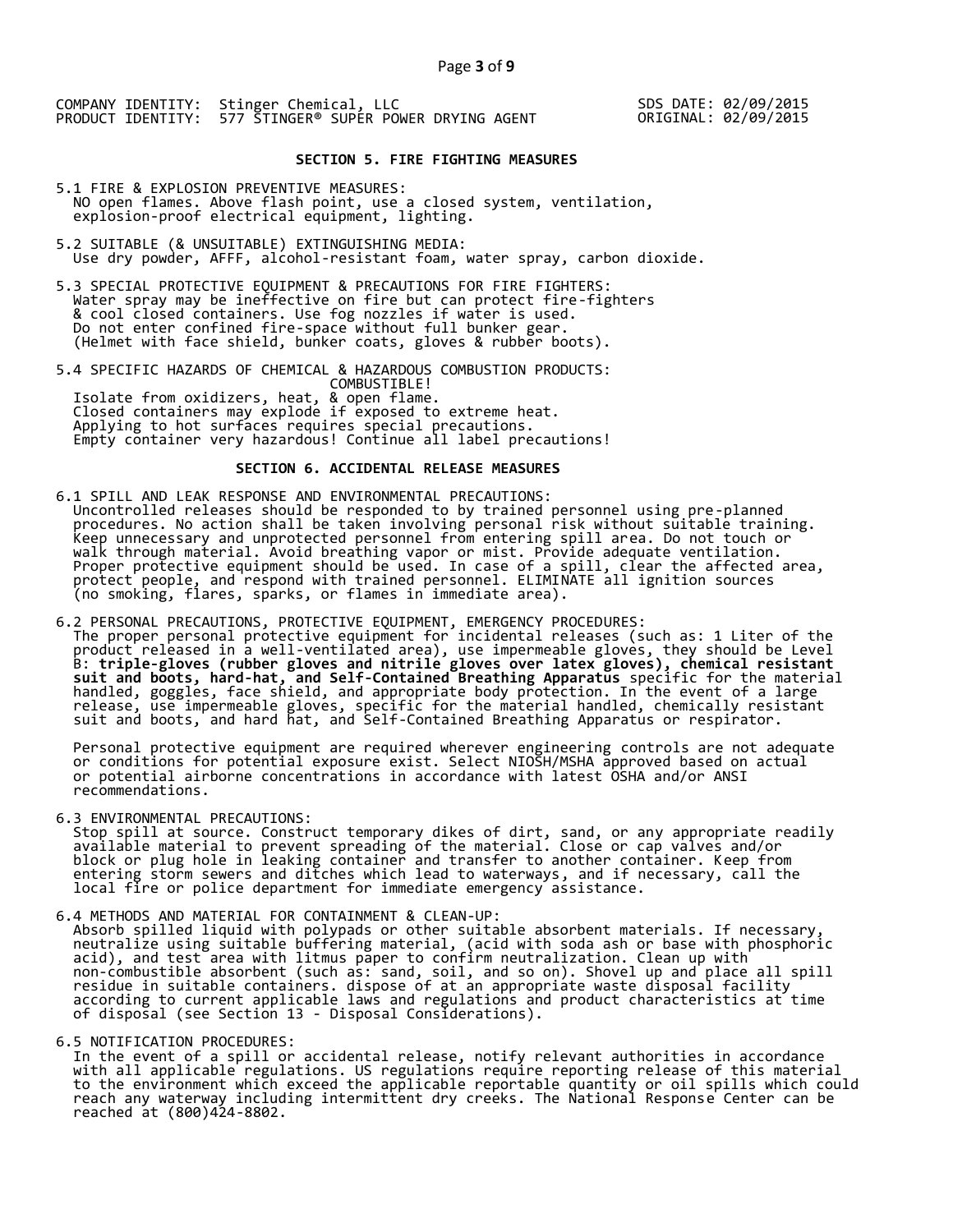# **SECTION 5. FIRE FIGHTING MEASURES**

- 5.1 FIRE & EXPLOSION PREVENTIVE MEASURES: NO open flames. Above flash point, use a closed system, ventilation, explosion-proof electrical equipment, lighting.
- 5.2 SUITABLE (& UNSUITABLE) EXTINGUISHING MEDIA: Use dry powder, AFFF, alcohol-resistant foam, water spray, carbon dioxide.
- 5.3 SPECIAL PROTECTIVE EQUIPMENT & PRECAUTIONS FOR FIRE FIGHTERS: Water spray may be ineffective on fire but can protect fire-fighters & cool closed containers. Use fog nozzles if water is used. Do not enter confined fire-space without full bunker gear. (Helmet with face shield, bunker coats, gloves & rubber boots).
- 5.4 SPECIFIC HAZARDS OF CHEMICAL & HAZARDOUS COMBUSTION PRODUCTS: COMBUSTIBLE! Isolate from oxidizers, heat, & open flame. Closed containers may explode if exposed to extreme heat. Applying to hot surfaces requires special precautions. Empty container very hazardous! Continue all label precautions!

# **SECTION 6. ACCIDENTAL RELEASE MEASURES**

- 6.1 SPILL AND LEAK RESPONSE AND ENVIRONMENTAL PRECAUTIONS: Uncontrolled releases should be responded to by trained personnel using pre-planned procedures. No action shall be taken involving personal risk without suitable training. Keep unnecessary and unprotected personnel from entering spill area. Do not touch or walk through material. Avoid breathing vapor or mist. Provide adequate ventilation. Proper protective equipment should be used. In case of a spill, clear the affected area, protect people, and respond with trained personnel. ELIMINATE all ignition sources (no smoking, flares, sparks, or flames in immediate area).
- 6.2 PERSONAL PRECAUTIONS, PROTECTIVE EQUIPMENT, EMERGENCY PROCEDURES: The proper personal protective equipment for incidental releases (such as: 1 Liter of the product released in a well-ventilated area), use impermeable gloves, they should be Level B: **triple-gloves (rubber gloves and nitrile gloves over latex gloves), chemical resistant suit and boots, hard-hat, and Self-Contained Breathing Apparatus** specific for the material handled, goggles, face shield, and appropriate body protection. In the event of a large release, use impermeable gloves, specific for the material handled, chemically resistant suit and boots, and hard hat, and Self-Contained Breathing Apparatus or respirator.

 Personal protective equipment are required wherever engineering controls are not adequate or conditions for potential exposure exist. Select NIOSH/MSHA approved based on actual or potential airborne concentrations in accordance with latest OSHA and/or ANSI recommendations.

6.3 ENVIRONMENTAL PRECAUTIONS:

 Stop spill at source. Construct temporary dikes of dirt, sand, or any appropriate readily available material to prevent spreading of the material. Close or cap valves and/or block or plug hole in leaking container and transfer to another container. Keep from entering storm sewers and ditches which lead to waterways, and if necessary, call the local fire or police department for immediate emergency assistance.

6.4 METHODS AND MATERIAL FOR CONTAINMENT & CLEAN-UP:

 Absorb spilled liquid with polypads or other suitable absorbent materials. If necessary, neutralize using suitable buffering material, (acid with soda ash or base with phosphoric acid), and test area with litmus paper to confirm neutralization. Clean up with non-combustible absorbent (such as: sand, soil, and so on). Shovel up and place all spill residue in suitable containers. dispose of at an appropriate waste disposal facility according to current applicable laws and regulations and product characteristics at time of disposal (see Section 13 - Disposal Considerations).

6.5 NOTIFICATION PROCEDURES:

 In the event of a spill or accidental release, notify relevant authorities in accordance with all applicable regulations. US regulations require reporting release of this material to the environment which exceed the applicable reportable quantity or oil spills which could reach any waterway including intermittent dry creeks. The National Response Center can be reached at (800)424-8802.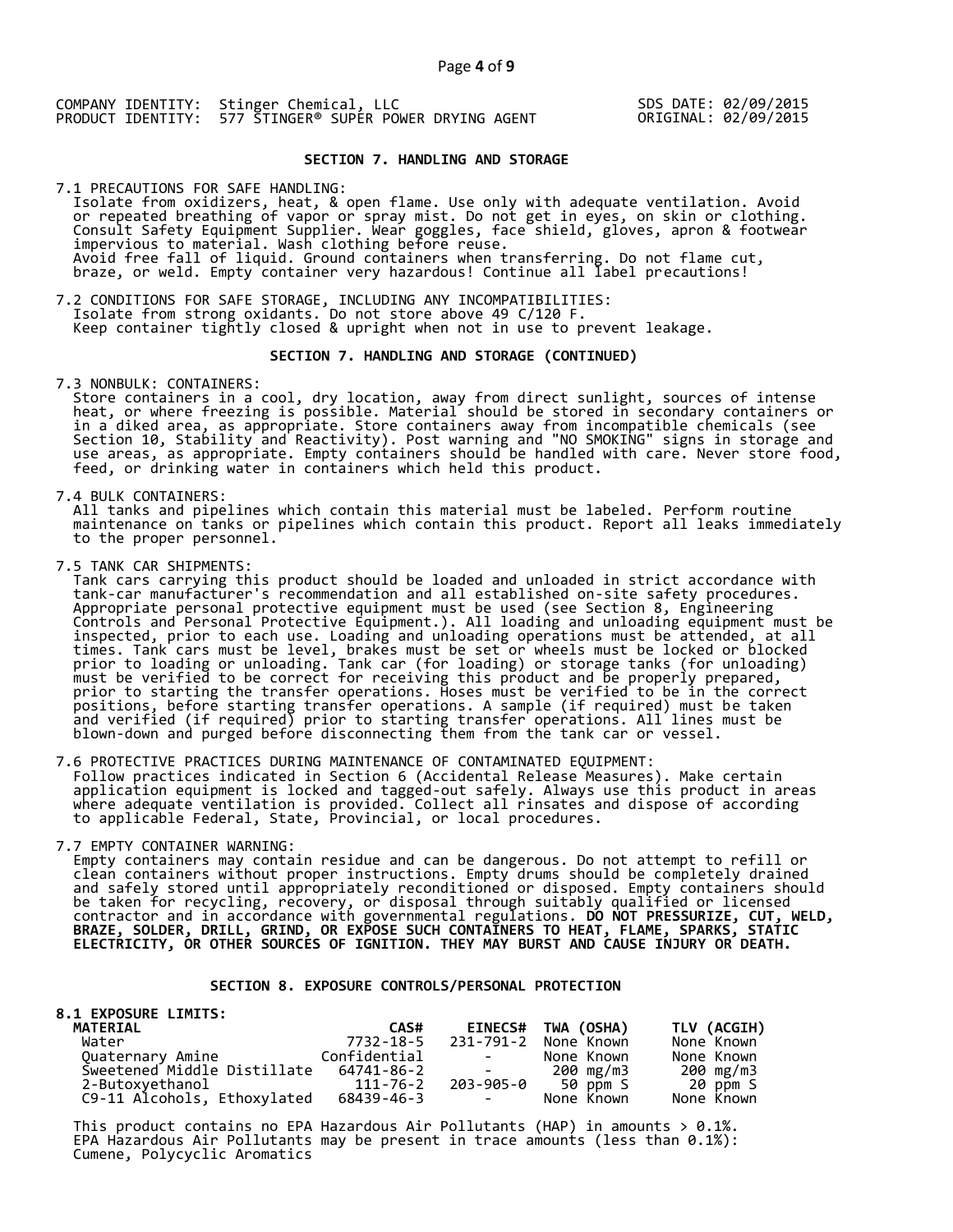# **SECTION 7. HANDLING AND STORAGE**

7.1 PRECAUTIONS FOR SAFE HANDLING: Isolate from oxidizers, heat, & open flame. Use only with adequate ventilation. Avoid or repeated breathing of vapor or spray mist. Do not get in eyes, on skin or clothing. Consult Safety Equipment Supplier. Wear goggles, face shield, gloves, apron & footwear impervious to material. Wash clothing before reuse. Avoid free fall of liquid. Ground containers when transferring. Do not flame cut, braze, or weld. Empty container very hazardous! Continue all label precautions!

7.2 CONDITIONS FOR SAFE STORAGE, INCLUDING ANY INCOMPATIBILITIES: Isolate from strong oxidants. Do not store above 49 C/120 F. Keep container tightly closed & upright when not in use to prevent leakage.

### **SECTION 7. HANDLING AND STORAGE (CONTINUED)**

7.3 NONBULK: CONTAINERS:

 Store containers in a cool, dry location, away from direct sunlight, sources of intense heat, or where freezing is possible. Material should be stored in secondary containers or in a diked area, as appropriate. Store containers away from incompatible chemicals (see Section 10, Stability and Reactivity). Post warning and "NO SMOKING" signs in storage and use areas, as appropriate. Empty containers should be handled with care. Never store food, feed, or drinking water in containers which held this product.

7.4 BULK CONTAINERS:

 All tanks and pipelines which contain this material must be labeled. Perform routine maintenance on tanks or pipelines which contain this product. Report all leaks immediately to the proper personnel.

7.5 TANK CAR SHIPMENTS:

 Tank cars carrying this product should be loaded and unloaded in strict accordance with tank-car manufacturer's recommendation and all established on-site safety procedures. Appropriate personal protective equipment must be used (see Section 8, Engineering Controls and Personal Protective Equipment.). All loading and unloading equipment must be inspected, prior to each use. Loading and unloading operations must be attended, at all times. Tank cars must be level, brakes must be set or wheels must be locked or blocked prior to loading or unloading. Tank car (for loading) or storage tanks (for unloading) must be verified to be correct for receiving this product and be properly prepared, prior to starting the transfer operations. Hoses must be verified to be in the correct positions, before starting transfer operations. A sample (if required) must be taken and verified (if required) prior to starting transfer operations. All lines must be blown-down and purged before disconnecting them from the tank car or vessel.

7.6 PROTECTIVE PRACTICES DURING MAINTENANCE OF CONTAMINATED EQUIPMENT: Follow practices indicated in Section 6 (Accidental Release Measures). Make certain application equipment is locked and tagged-out safely. Always use this product in areas where adequate ventilation is provided. Collect all rinsates and dispose of according to applicable Federal, State, Provincial, or local procedures.

7.7 EMPTY CONTAINER WARNING:

 Empty containers may contain residue and can be dangerous. Do not attempt to refill or clean containers without proper instructions. Empty drums should be completely drained and safely stored until appropriately reconditioned or disposed. Empty containers should be taken for recycling, recovery, or disposal through suitably qualified or licensed contractor and in accordance with governmental regulations. **DO NOT PRESSURIZE, CUT, WELD, BRAZE, SOLDER, DRILL, GRIND, OR EXPOSE SUCH CONTAINERS TO HEAT, FLAME, SPARKS, STATIC ELECTRICITY, OR OTHER SOURCES OF IGNITION. THEY MAY BURST AND CAUSE INJURY OR DEATH.**

## **SECTION 8. EXPOSURE CONTROLS/PERSONAL PROTECTION**

| <b>8.1 EXPOSURE LIMITS:</b> |              |                                                                                                   |                    |             |
|-----------------------------|--------------|---------------------------------------------------------------------------------------------------|--------------------|-------------|
| <b>MATERIAL</b>             | CAS#         |                                                                                                   | EINECS# TWA (OSHA) | TLV (ACGIH) |
| Water                       | 7732-18-5    | 231-791-2                                                                                         | None Known         | None Known  |
| Quaternary Amine            | Confidential | <b>Contract Contract</b>                                                                          | None Known         | None Known  |
| Sweetened Middle Distillate | 64741-86-2   | $\mathcal{L}_{\text{max}}$ and $\mathcal{L}_{\text{max}}$ . The set of $\mathcal{L}_{\text{max}}$ | 200 mg/m3          | 200 mg/m3   |
| 2-Butoxyethanol             | 111-76-2     |                                                                                                   | 203-905-0 50 ppm S | 20 ppm S    |
| C9-11 Alcohols, Ethoxylated | 68439-46-3   | <b>Contract Contract</b>                                                                          | None Known         | None Known  |

This product contains no EPA Hazardous Air Pollutants (HAP) in amounts  $> 0.1\%$ . EPA Hazardous Air Pollutants may be present in trace amounts (less than 0.1%): Cumene, Polycyclic Aromatics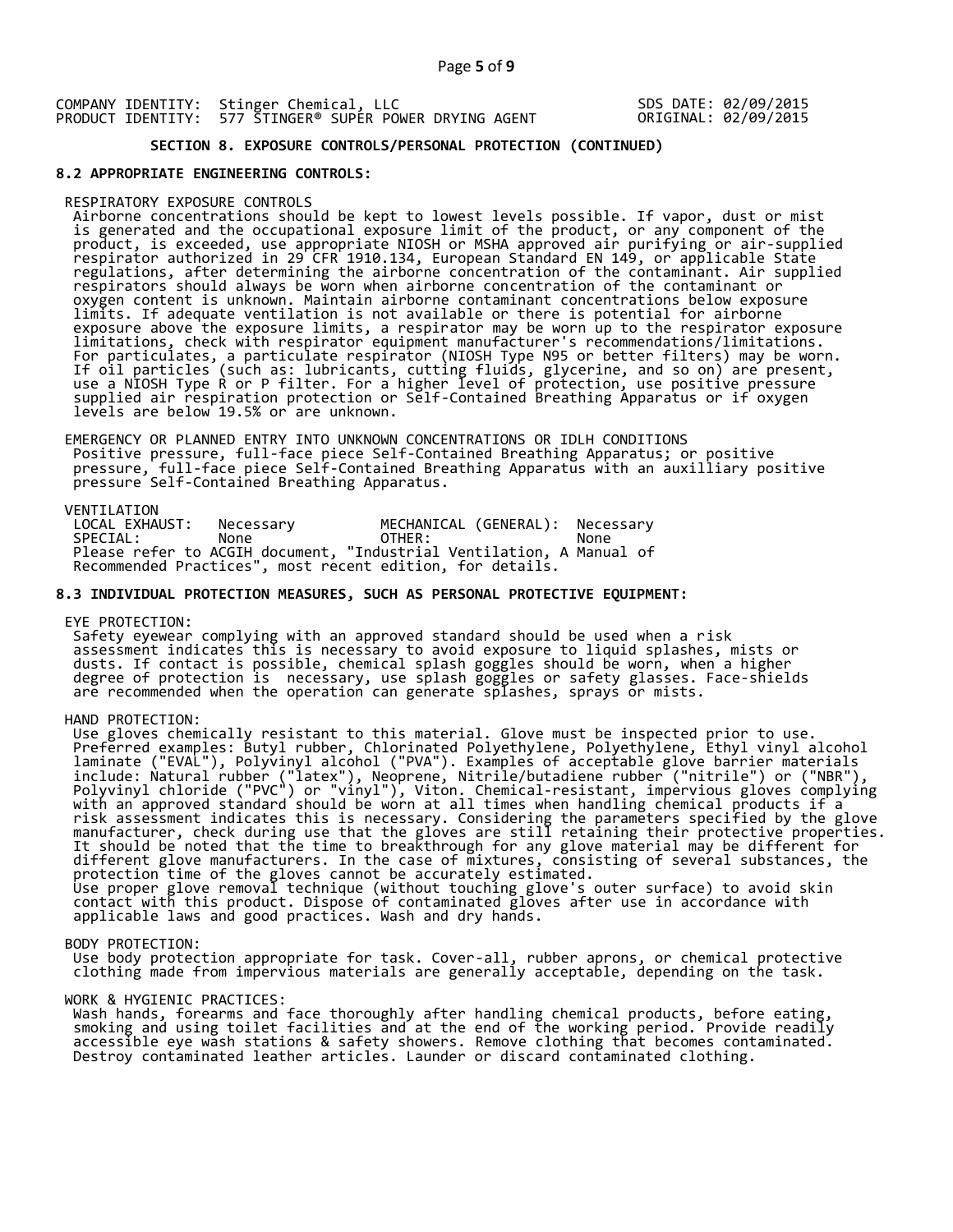# **SECTION 8. EXPOSURE CONTROLS/PERSONAL PROTECTION (CONTINUED)**

### **8.2 APPROPRIATE ENGINEERING CONTROLS:**

#### RESPIRATORY EXPOSURE CONTROLS

 Airborne concentrations should be kept to lowest levels possible. If vapor, dust or mist is generated and the occupational exposure limit of the product, or any component of the product, is exceeded, use appropriate NIOSH or MSHA approved air purifying or air-supplied respirator authorized in 29 CFR 1910.134, European Standard EN 149, or applicable State regulations, after determining the airborne concentration of the contaminant. Air supplied respirators should always be worn when airborne concentration of the contaminant or oxygen content is unknown. Maintain airborne contaminant concentrations below exposure limits. If adequate ventilation is not available or there is potential for airborne exposure above the exposure limits, a respirator may be worn up to the respirator exposure limitations, check with respirator equipment manufacturer's recommendations/limitations. For particulates, a particulate respirator (NIOSH Type N95 or better filters) may be worn. If oil particles (such as: lubricants, cutting fluids, glycerine, and so on) are present, use a NIOSH Type R or P filter. For a higher level of protection, use positive pressure supplied air respiration protection or Self-Contained Breathing Apparatus or if oxygen levels are below 19.5% or are unknown.

 EMERGENCY OR PLANNED ENTRY INTO UNKNOWN CONCENTRATIONS OR IDLH CONDITIONS Positive pressure, full-face piece Self-Contained Breathing Apparatus; or positive pressure, full-face piece Self-Contained Breathing Apparatus with an auxilliary positive pressure Self-Contained Breathing Apparatus.

VENTILATION<br>LOCAL EXHAUST: LOCAL EXHAUST: Necessary MECHANICAL (GENERAL): Necessary<br>SPECIAL: None OTHER: None SPECIAL: None OTHER: None Please refer to ACGIH document, "Industrial Ventilation, A Manual of Recommended Practices", most recent edition, for details.

### **8.3 INDIVIDUAL PROTECTION MEASURES, SUCH AS PERSONAL PROTECTIVE EQUIPMENT:**

EYE PROTECTION:

 Safety eyewear complying with an approved standard should be used when a risk assessment indicates this is necessary to avoid exposure to liquid splashes, mists or dusts. If contact is possible, chemical splash goggles should be worn, when a higher degree of protection is necessary, use splash goggles or safety glasses. Face-shields are recommended when the operation can generate splashes, sprays or mists.

HAND PROTECTION:

 Use gloves chemically resistant to this material. Glove must be inspected prior to use. Preferred examples: Butyl rubber, Chlorinated Polyethylene, Polyethylene, Ethyl vinyl alcohol laminate ("EVAL"), Polyvinyl alcohol ("PVA"). Examples of acceptable glove barrier materials include: Natural rubber ("latex"), Neoprene, Nitrile/butadiene rubber ("nitrile") or ("NBR"), Polyvinyl chloride ("PVC") or "vinyl"), Viton. Chemical-resistant, impervious gloves complying with an approved standard should be worn at all times when handling chemical products if a risk assessment indicates this is necessary. Considering the parameters specified by the glove manufacturer, check during use that the gloves are still retaining their protective properties. It should be noted that the time to breakthrough for any glove material may be different for different glove manufacturers. In the case of mixtures, consisting of several substances, the protection time of the gloves cannot be accurately estimated. Use proper glove removal technique (without touching glove's outer surface) to avoid skin contact with this product. Dispose of contaminated gloves after use in accordance with applicable laws and good practices. Wash and dry hands.

#### BODY PROTECTION:

 Use body protection appropriate for task. Cover-all, rubber aprons, or chemical protective clothing made from impervious materials are generally acceptable, depending on the task.

### WORK & HYGIENIC PRACTICES:

 Wash hands, forearms and face thoroughly after handling chemical products, before eating, smoking and using toilet facilities and at the end of the working period. Provide readily accessible eye wash stations & safety showers. Remove clothing that becomes contaminated. Destroy contaminated leather articles. Launder or discard contaminated clothing.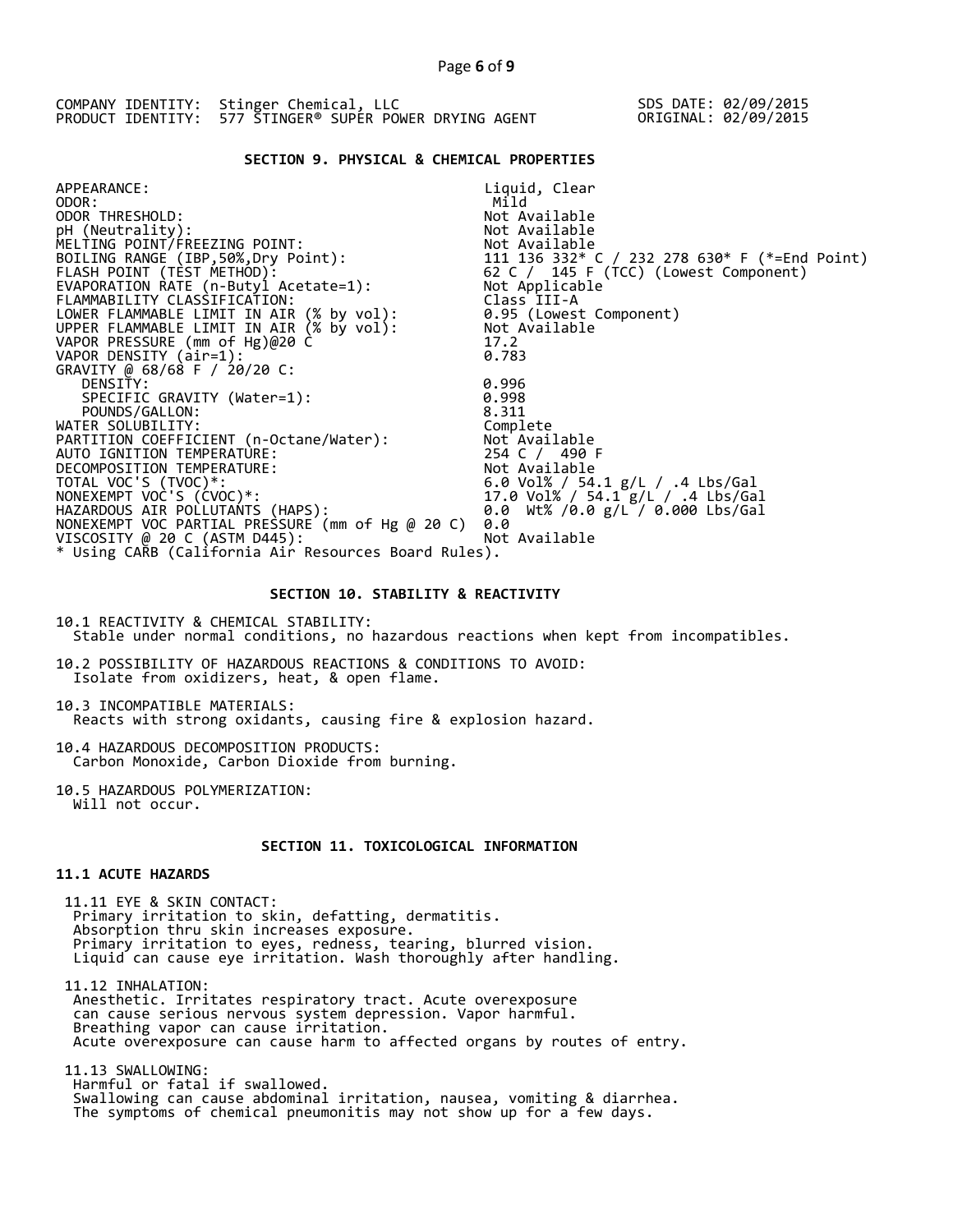| COMPANY IDENTITY: Stinger Chemical, LLC                 | SDS DATE: 02/09/2015 |
|---------------------------------------------------------|----------------------|
| PRODUCT IDENTITY: 577 STINGER® SUPER POWER DRYING AGENT | ORIGINAL: 02/09/2015 |

### **SECTION 9. PHYSICAL & CHEMICAL PROPERTIES**

| APPEARANCE:                                          | Liquid, Clear                                                                                                 |
|------------------------------------------------------|---------------------------------------------------------------------------------------------------------------|
| ODOR:                                                | Mild                                                                                                          |
| ODOR THRESHOLD:                                      | Not Available                                                                                                 |
| pH (Neutrality):                                     | Not Available                                                                                                 |
| MELTING POINT/FREEZING POINT:                        |                                                                                                               |
| BOILING RANGE (IBP, 50%, Dry Point):                 |                                                                                                               |
| FLASH POINT (TEST METHOD):                           | Not Available<br>111  136  332* C / 232  278  630* F (*=End Point)<br>62  C / 145  F (TCC) (Lowest Component) |
| EVAPORATION RATE (n-Butyl Acetate=1):                | Not Applicable                                                                                                |
| FLAMMABILITY CLASSIFICATION:                         | Class III-A                                                                                                   |
| LOWER FLAMMABLE LIMIT IN AIR (% by vol):             | 0.95 (Lowest Component)                                                                                       |
| UPPER FLAMMABLE LIMIT IN AIR (% by vol):             | Not Available                                                                                                 |
| VAPOR PRESSURE (mm of Hg)@20 C                       | 17.2                                                                                                          |
| VAPOR DENSITY (air=1):                               | 0.783                                                                                                         |
| GRAVITY @ 68/68 F / 20/20 C:                         |                                                                                                               |
| DENSITY:                                             | 0.996                                                                                                         |
| SPECIFIC GRAVITY (Water=1):                          | 0.998                                                                                                         |
| POUNDS/GALLON:                                       | 8.311                                                                                                         |
| WATER SOLUBILITY:                                    | Complete                                                                                                      |
| PARTITION COEFFICIENT (n-Octane/Water):              | Not Available                                                                                                 |
| AUTO IGNITION TEMPERATURE:                           | 254 C / 490 F                                                                                                 |
| DECOMPOSITION TEMPERATURE:                           | Not Available                                                                                                 |
| TOTAL VOC'S (TVOC)*:                                 | 6.0 Vol% / 54.1 g/L / .4 Lbs/Gal                                                                              |
| NONEXEMPT VOC'S (CVOC)*:                             | 17.0 Vol% / 54.1 g/L / .4 Lbs/Gal                                                                             |
| HAZARDOUS AIR POLLUTANTS (HAPS):                     | 0.0 Wt% /0.0 g/L / 0.000 Lbs/Gal                                                                              |
| NONEXEMPT VOC PARTIAL PRESSURE (mm of Hg @ 20 C)     | 0.0                                                                                                           |
| VISCOSITY @ 20 C (ASTM D445):                        | Not Available                                                                                                 |
| * Using CARB (California Air Resources Board Rules). |                                                                                                               |
|                                                      |                                                                                                               |

### **SECTION 10. STABILITY & REACTIVITY**

10.1 REACTIVITY & CHEMICAL STABILITY: Stable under normal conditions, no hazardous reactions when kept from incompatibles.

10.2 POSSIBILITY OF HAZARDOUS REACTIONS & CONDITIONS TO AVOID: Isolate from oxidizers, heat, & open flame.

10.3 INCOMPATIBLE MATERIALS: Reacts with strong oxidants, causing fire & explosion hazard.

10.4 HAZARDOUS DECOMPOSITION PRODUCTS: Carbon Monoxide, Carbon Dioxide from burning.

10.5 HAZARDOUS POLYMERIZATION: Will not occur.

# **SECTION 11. TOXICOLOGICAL INFORMATION**

# **11.1 ACUTE HAZARDS**

 11.11 EYE & SKIN CONTACT: Primary irritation to skin, defatting, dermatitis. Absorption thru skin increases exposure. Primary irritation to eyes, redness, tearing, blurred vision. Liquid can cause eye irritation. Wash thoroughly after handling.

 11.12 INHALATION: Anesthetic. Irritates respiratory tract. Acute overexposure can cause serious nervous system depression. Vapor harmful. Breathing vapor can cause irritation. Acute overexposure can cause harm to affected organs by routes of entry.

 11.13 SWALLOWING: Harmful or fatal if swallowed. Swallowing can cause abdominal irritation, nausea, vomiting & diarrhea. The symptoms of chemical pneumonitis may not show up for a few days.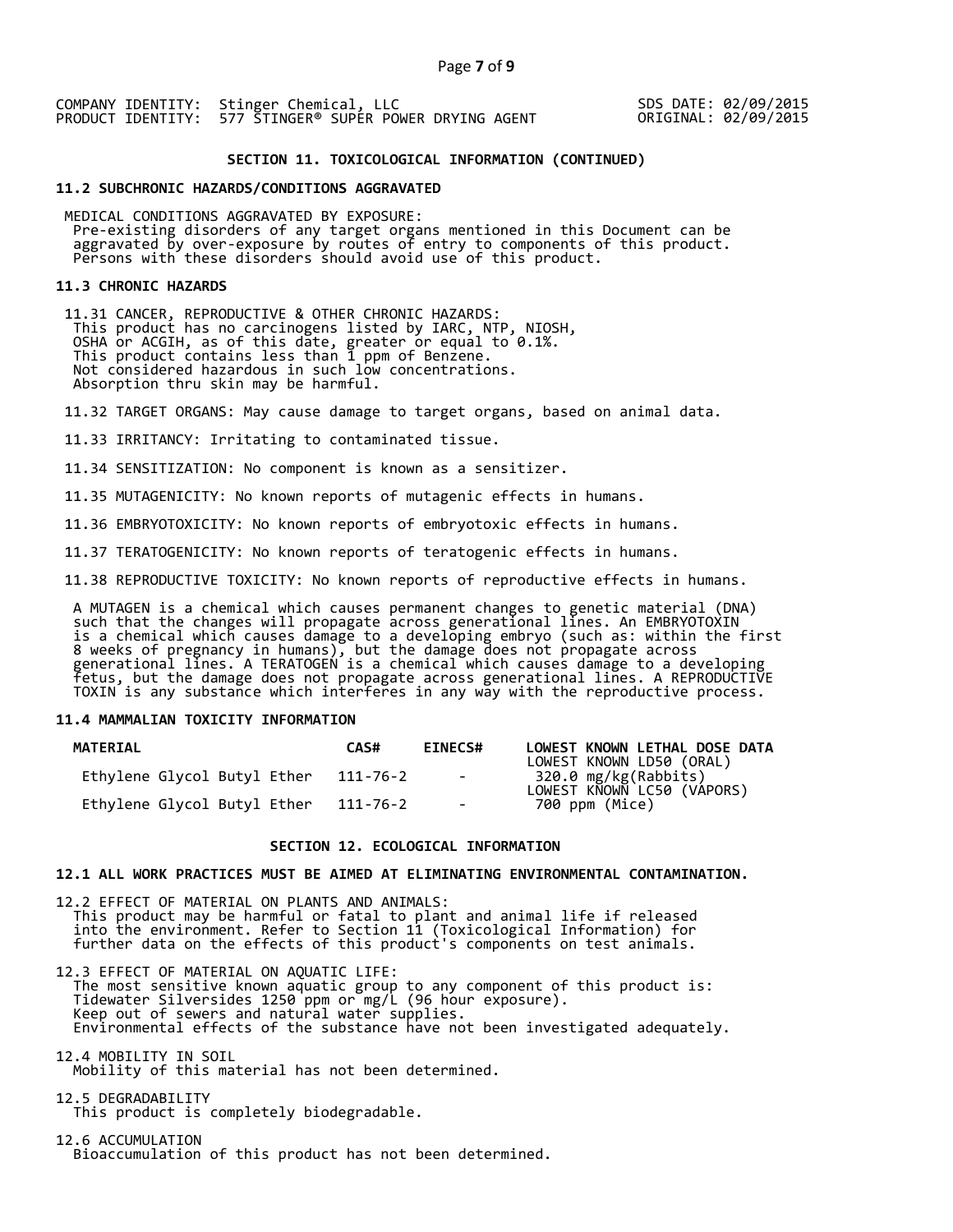### **SECTION 11. TOXICOLOGICAL INFORMATION (CONTINUED)**

### **11.2 SUBCHRONIC HAZARDS/CONDITIONS AGGRAVATED**

 MEDICAL CONDITIONS AGGRAVATED BY EXPOSURE: Pre-existing disorders of any target organs mentioned in this Document can be aggravated by over-exposure by routes of entry to components of this product. Persons with these disorders should avoid use of this product.

### **11.3 CHRONIC HAZARDS**

 11.31 CANCER, REPRODUCTIVE & OTHER CHRONIC HAZARDS: This product has no carcinogens listed by IARC, NTP, NIOSH, OSHA or ACGIH, as of this date, greater or equal to 0.1%. This product contains less than 1 ppm of Benzene. Not considered hazardous in such low concentrations. Absorption thru skin may be harmful.

11.32 TARGET ORGANS: May cause damage to target organs, based on animal data.

11.33 IRRITANCY: Irritating to contaminated tissue.

11.34 SENSITIZATION: No component is known as a sensitizer.

11.35 MUTAGENICITY: No known reports of mutagenic effects in humans.

11.36 EMBRYOTOXICITY: No known reports of embryotoxic effects in humans.

11.37 TERATOGENICITY: No known reports of teratogenic effects in humans.

11.38 REPRODUCTIVE TOXICITY: No known reports of reproductive effects in humans.

 A MUTAGEN is a chemical which causes permanent changes to genetic material (DNA) such that the changes will propagate across generational lines. An EMBRYOTOXIN is a chemical which causes damage to a developing embryo (such as: within the first 8 weeks of pregnancy in humans), but the damage does not propagate across generational lines. A TERATOGEN is a chemical which causes damage to a developing fetus, but the damage does not propagate across generational lines. A REPRODUCTIVE TOXIN is any substance which interferes in any way with the reproductive process.

# **11.4 MAMMALIAN TOXICITY INFORMATION**

| <b>MATERIAL</b>             | CAS#     | <b>EINECS#</b> | LOWEST KNOWN LETHAL DOSE DATA<br>LOWEST KNOWN LD50 (ORAL) |
|-----------------------------|----------|----------------|-----------------------------------------------------------|
| Ethylene Glycol Butyl Ether | 111-76-2 | $\sim$ $-$     | 320.0 mg/kg(Rabbits)<br>LOWEST KNOWN LC50 (VAPORS)        |
| Ethylene Glycol Butyl Ether | 111-76-2 | $\sim$         | 700 ppm (Mice)                                            |

### **SECTION 12. ECOLOGICAL INFORMATION**

# **12.1 ALL WORK PRACTICES MUST BE AIMED AT ELIMINATING ENVIRONMENTAL CONTAMINATION.**

12.2 EFFECT OF MATERIAL ON PLANTS AND ANIMALS: This product may be harmful or fatal to plant and animal life if released into the environment. Refer to Section 11 (Toxicological Information) for further data on the effects of this product's components on test animals.

12.3 EFFECT OF MATERIAL ON AQUATIC LIFE: The most sensitive known aquatic group to any component of this product is: Tidewater Silversides 1250 ppm or mg/L (96 hour exposure). Keep out of sewers and natural water supplies. Environmental effects of the substance have not been investigated adequately.

12.4 MOBILITY IN SOIL Mobility of this material has not been determined.

12.5 DEGRADABILITY This product is completely biodegradable.

12.6 ACCUMULATION Bioaccumulation of this product has not been determined.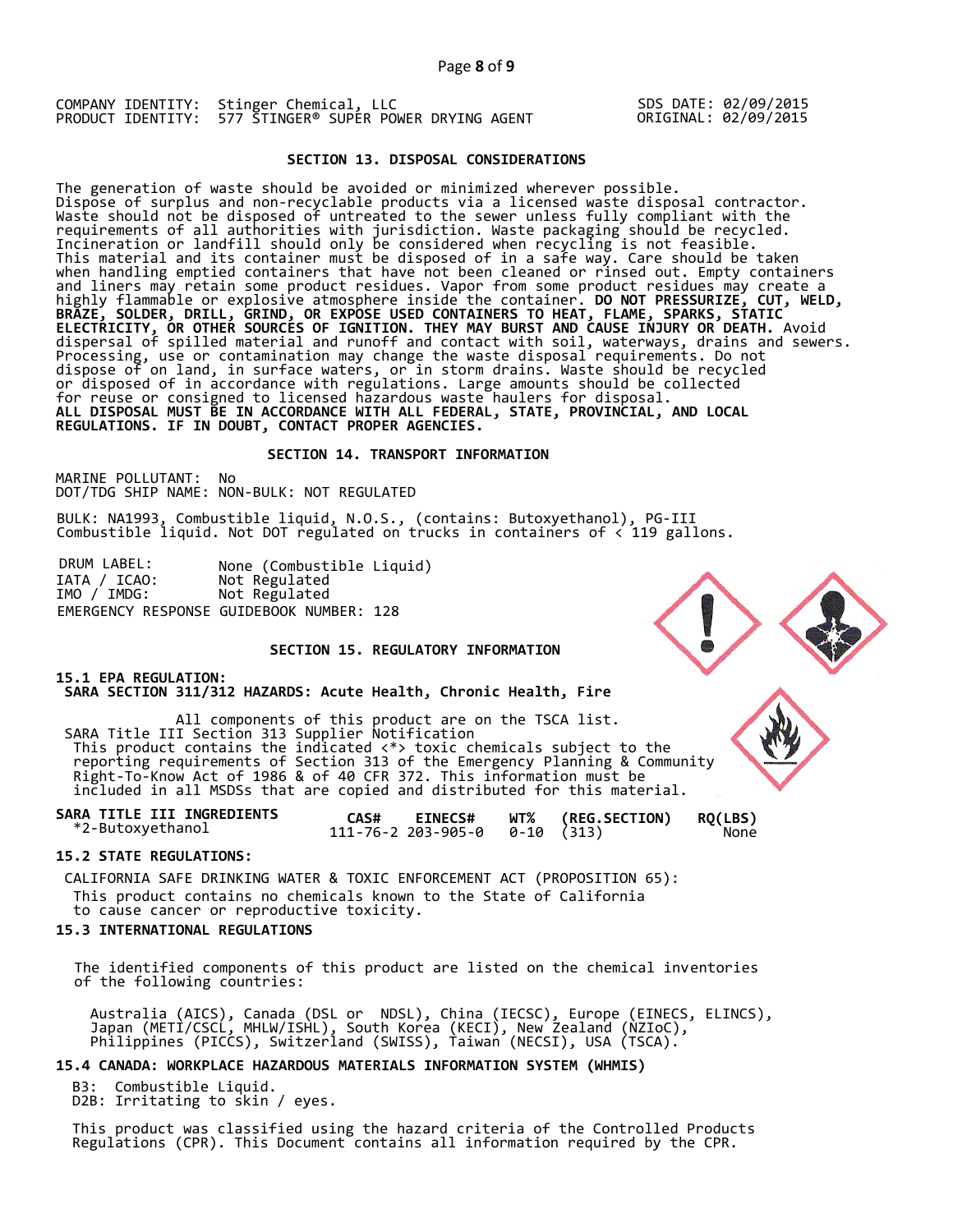# **SECTION 13. DISPOSAL CONSIDERATIONS**

The generation of waste should be avoided or minimized wherever possible. Dispose of surplus and non-recyclable products via a licensed waste disposal contractor. Waste should not be disposed of untreated to the sewer unless fully compliant with the requirements of all authorities with jurisdiction. Waste packaging should be recycled. Incineration or landfill should only be considered when recycling is not feasible. This material and its container must be disposed of in a safe way. Care should be taken when handling emptied containers that have not been cleaned or rinsed out. Empty containers and liners may retain some product residues. Vapor from some product residues may create a highly flammable or explosive atmosphere inside the container. **DO NOT PRESSURIZE, CUT, WELD, BRAZE, SOLDER, DRILL, GRIND, OR EXPOSE USED CONTAINERS TO HEAT, FLAME, SPARKS, STATIC ELECTRICITY, OR OTHER SOURCES OF IGNITION. THEY MAY BURST AND CAUSE INJURY OR DEATH.** Avoid dispersal of spilled material and runoff and contact with soil, waterways, drains and sewers. Processing, use or contamination may change the waste disposal requirements. Do not dispose of on land, in surface waters, or in storm drains. Waste should be recycled or disposed of in accordance with regulations. Large amounts should be collected for reuse or consigned to licensed hazardous waste haulers for disposal. **ALL DISPOSAL MUST BE IN ACCORDANCE WITH ALL FEDERAL, STATE, PROVINCIAL, AND LOCAL REGULATIONS. IF IN DOUBT, CONTACT PROPER AGENCIES.** 

### **SECTION 14. TRANSPORT INFORMATION**

MARINE POLLUTANT: No DOT/TDG SHIP NAME: NON-BULK: NOT REGULATED

BULK: NA1993, Combustible liquid, N.O.S., (contains: Butoxyethanol), PG-III Combustible liquid. Not DOT regulated on trucks in containers of < 119 gallons.

DRUM LABEL: None (Combustible Liquid)<br>IATA / ICAO: Not Regulated<br>IMO / IMDG: Not Regulated Not Regulated Not Regulated EMERGENCY RESPONSE GUIDEBOOK NUMBER: 128

# **SECTION 15. REGULATORY INFORMATION**

# **15.1 EPA REGULATION:**

 **SARA SECTION 311/312 HAZARDS: Acute Health, Chronic Health, Fire** 

All components of this product are on the TSCA list. SARA Title III Section 313 Supplier Notification This product contains the indicated <\*> toxic chemicals subject to the reporting requirements of Section 313 of the Emergency Planning & Community Right-To-Know Act of 1986 & of 40 CFR 372. This information must be included in all MSDSs that are copied and distributed for this material.

| SARA TITLE III INGREDIENTS | CAS# | <b>EINECS#</b> | WT% (REG.SECTION) RQ(LBS) |      |
|----------------------------|------|----------------|---------------------------|------|
| *2-Butoxyethanol           |      |                |                           | None |

# **15.2 STATE REGULATIONS:**

 CALIFORNIA SAFE DRINKING WATER & TOXIC ENFORCEMENT ACT (PROPOSITION 65): This product contains no chemicals known to the State of California to cause cancer or reproductive toxicity.

# **15.3 INTERNATIONAL REGULATIONS**

 The identified components of this product are listed on the chemical inventories of the following countries:

 Australia (AICS), Canada (DSL or NDSL), China (IECSC), Europe (EINECS, ELINCS), Japan (METI/CSCL, MHLW/ISHL), South Korea (KECI), New Zealand (NZIoC), Philippines (PICCS), Switzerland (SWISS), Taiwan (NECSI), USA (TSCA).

### **15.4 CANADA: WORKPLACE HAZARDOUS MATERIALS INFORMATION SYSTEM (WHMIS)**

 B3: Combustible Liquid. D2B: Irritating to skin / eyes.

 This product was classified using the hazard criteria of the Controlled Products Regulations (CPR). This Document contains all information required by the CPR.